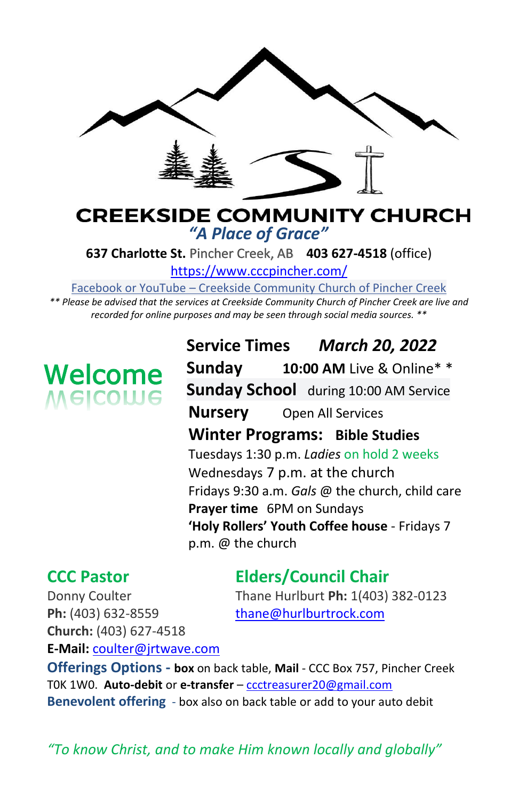

### **CREEKSIDE COMMUNITY CHURCH** *"A Place of Grace"*

**637 Charlotte St.** Pincher Creek, AB **403 627-4518** (office)

<https://www.cccpincher.com/>

Facebook or YouTube – Creekside Community Church of Pincher Creek

*\*\* Please be advised that the services at Creekside Community Church of Pincher Creek are live and recorded for online purposes and may be seen through social media sources. \*\**

# **Welcome**<br>Melcolue

**Service Times** *March 20, 2022* **Sunday 10:00 AM** Live & Online\* \* **Sunday School** during 10:00 AM Service **Nursery** Open All Services **Winter Programs: Bible Studies** Tuesdays 1:30 p.m. *Ladies* on hold 2 weeks Wednesdays 7 p.m. at the church Fridays 9:30 a.m. *Gals* @ the church, child care **Prayer time** 6PM on Sundays **'Holy Rollers' Youth Coffee house** - Fridays 7 p.m. @ the church

# **CCC Pastor Elders/Council Chair**

Donny Coulter Thane Hurlburt **Ph:** 1(403) 382-0123

Ph: (403) 632-8559 [thane@hurlburtrock.com](mailto:thane@hurlburtrock.com) **Church:** (403) 627-4518 **E-Mail:** [coulter@jrtwave.com](mailto:coulter@jrtwave.com)

**Offerings Options - box** on back table, **Mail** - CCC Box 757, Pincher Creek T0K 1W0. **Auto-debit** or **e-transfer** – [ccctreasurer20@gmail.com](mailto:ccctreasurer20@gmail.com) **Benevolent offering** - box also on back table or add to your auto debit

*"To know Christ, and to make Him known locally and globally"*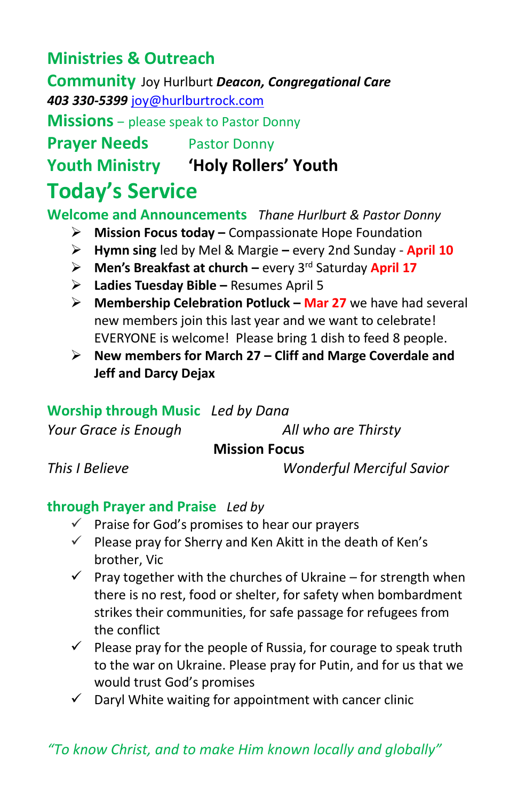## **Ministries & Outreach**

**Community** Joy Hurlburt *Deacon, Congregational Care 403 330-5399* [joy@hurlburtrock.com](mailto:joy@hurlburtrock.com)

**Missions** – please speak to Pastor Donny

**Prayer Needs** Pastor Donny

**Youth Ministry 'Holy Rollers' Youth**

# **Today's Service**

**Welcome and Announcements** *Thane Hurlburt & Pastor Donny*

- ➢ **Mission Focus today –** Compassionate Hope Foundation
- ➢ **Hymn sing** led by Mel & Margie **–** every 2nd Sunday **April 10**
- > Men's Breakfast at church every 3<sup>rd</sup> Saturday April 17
- ➢ **Ladies Tuesday Bible –** Resumes April 5
- ➢ **Membership Celebration Potluck – Mar 27** we have had several new members join this last year and we want to celebrate! EVERYONE is welcome! Please bring 1 dish to feed 8 people.
- ➢ **New members for March 27 – Cliff and Marge Coverdale and Jeff and Darcy Dejax**

#### **Worship through Music** *Led by Dana*

*Your Grace is Enough All who are Thirsty*

#### **Mission Focus**

*This I Believe Wonderful Merciful Savior*

#### **through Prayer and Praise** *Led by*

- $\checkmark$  Praise for God's promises to hear our prayers
- $\checkmark$  Please pray for Sherry and Ken Akitt in the death of Ken's brother, Vic
- $\checkmark$  Pray together with the churches of Ukraine for strength when there is no rest, food or shelter, for safety when bombardment strikes their communities, for safe passage for refugees from the conflict
- $\checkmark$  Please pray for the people of Russia, for courage to speak truth to the war on Ukraine. Please pray for Putin, and for us that we would trust God's promises
- $\checkmark$  Daryl White waiting for appointment with cancer clinic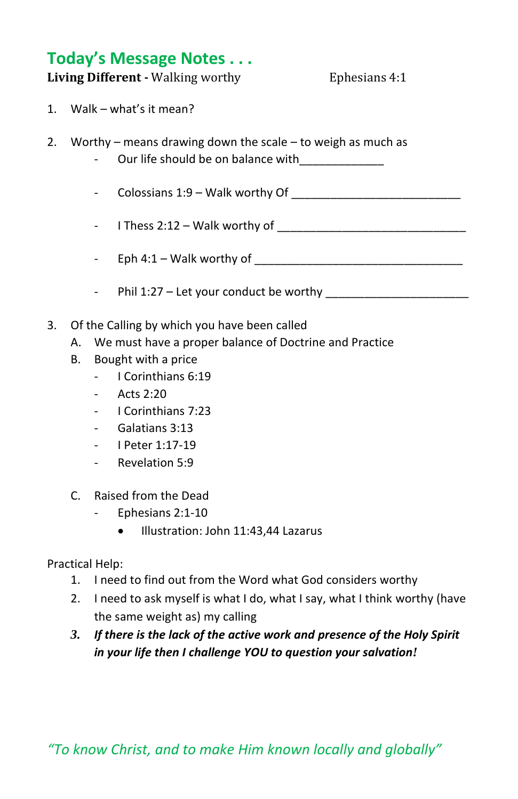#### **Today's Message Notes . . .**

**Living Different -** Walking worthy **Ephesians 4:1** 

- 1. Walk what's it mean?
- 2. Worthy means drawing down the scale to weigh as much as
	- Our life should be on balance with
	- Colossians 1:9 Walk worthy Of
	- I Thess 2:12 Walk worthy of \_\_\_\_\_\_\_\_\_\_\_\_\_\_\_\_\_\_\_\_\_\_\_\_\_\_\_\_\_
	- Eph 4:1 Walk worthy of \_\_\_\_\_\_\_\_\_\_\_\_\_\_\_\_\_\_\_\_\_\_\_\_\_\_\_\_\_\_\_\_
	- Phil 1:27 Let your conduct be worthy
- 3. Of the Calling by which you have been called
	- A. We must have a proper balance of Doctrine and Practice
	- B. Bought with a price
		- I Corinthians 6:19
		- Acts  $2.20$
		- I Corinthians 7:23
		- Galatians 3:13
		- I Peter 1:17-19
		- Revelation 5:9
	- C. Raised from the Dead
		- Ephesians 2:1-10
			- Illustration: John 11:43,44 Lazarus

Practical Help:

- 1. I need to find out from the Word what God considers worthy
- 2. I need to ask myself is what I do, what I say, what I think worthy (have the same weight as) my calling
- *3. If there is the lack of the active work and presence of the Holy Spirit in your life then I challenge YOU to question your salvation!*

*"To know Christ, and to make Him known locally and globally"*